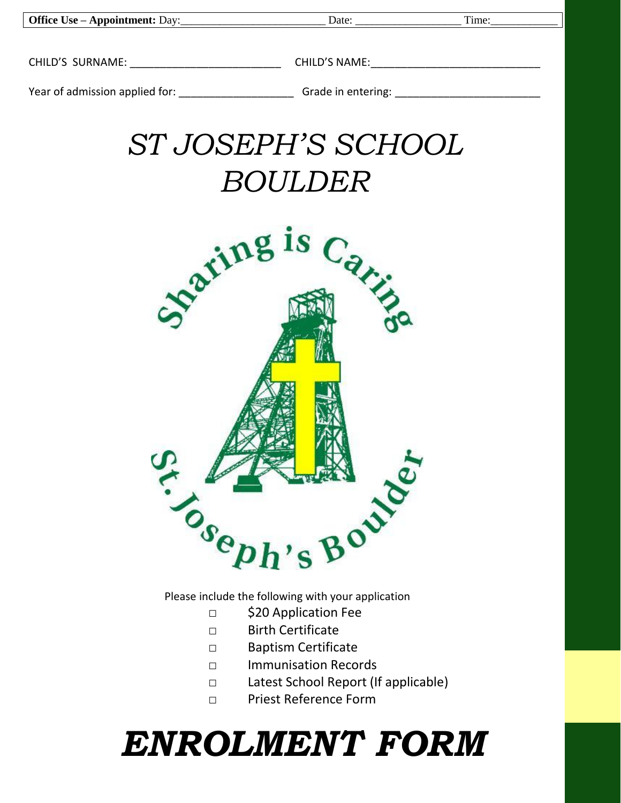| <b>Office Use – Appointment: Day:</b> | Date:                | Time: |
|---------------------------------------|----------------------|-------|
|                                       |                      |       |
| CHILD'S SURNAME:                      | <b>CHILD'S NAME:</b> |       |
| Year of admission applied for:        | Grade in entering:   |       |

## *ST JOSEPH'S SCHOOL BOULDER*



- **□** \$20 Application Fee
- **□** Birth Certificate
- □ Baptism Certificate
- □ Immunisation Records
- □ Latest School Report (If applicable)
- **□** Priest Reference Form

# *ENROLMENT FORM*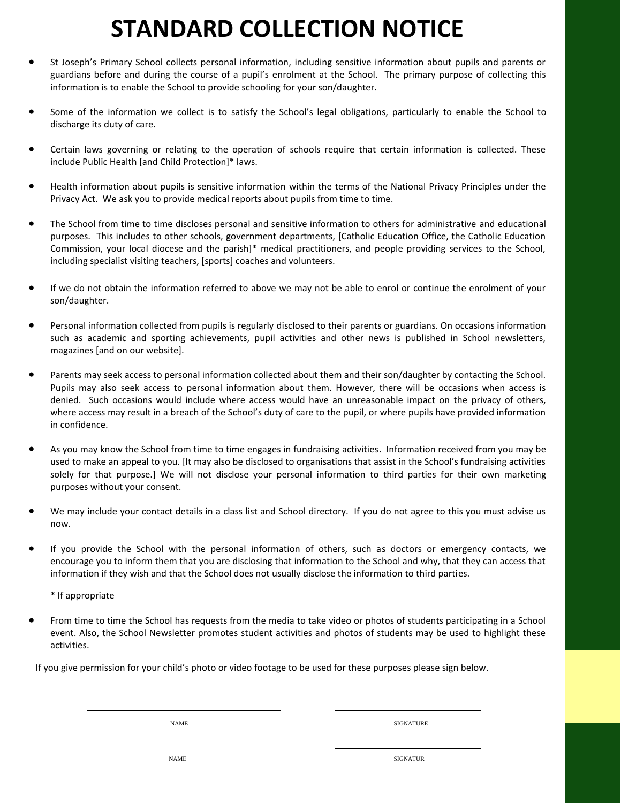### **STANDARD COLLECTION NOTICE**

- St Joseph's Primary School collects personal information, including sensitive information about pupils and parents or guardians before and during the course of a pupil's enrolment at the School. The primary purpose of collecting this information is to enable the School to provide schooling for your son/daughter.
- Some of the information we collect is to satisfy the School's legal obligations, particularly to enable the School to discharge its duty of care.
- Certain laws governing or relating to the operation of schools require that certain information is collected. These include Public Health [and Child Protection]\* laws.
- Health information about pupils is sensitive information within the terms of the National Privacy Principles under the Privacy Act. We ask you to provide medical reports about pupils from time to time.
- The School from time to time discloses personal and sensitive information to others for administrative and educational purposes. This includes to other schools, government departments, [Catholic Education Office, the Catholic Education Commission, your local diocese and the parish]\* medical practitioners, and people providing services to the School, including specialist visiting teachers, [sports] coaches and volunteers.
- If we do not obtain the information referred to above we may not be able to enrol or continue the enrolment of your son/daughter.
- Personal information collected from pupils is regularly disclosed to their parents or guardians. On occasions information such as academic and sporting achievements, pupil activities and other news is published in School newsletters, magazines [and on our website].
- Parents may seek access to personal information collected about them and their son/daughter by contacting the School. Pupils may also seek access to personal information about them. However, there will be occasions when access is denied. Such occasions would include where access would have an unreasonable impact on the privacy of others, where access may result in a breach of the School's duty of care to the pupil, or where pupils have provided information in confidence.
- As you may know the School from time to time engages in fundraising activities. Information received from you may be used to make an appeal to you. [It may also be disclosed to organisations that assist in the School's fundraising activities solely for that purpose.] We will not disclose your personal information to third parties for their own marketing purposes without your consent.
- We may include your contact details in a class list and School directory. If you do not agree to this you must advise us now.
- If you provide the School with the personal information of others, such as doctors or emergency contacts, we encourage you to inform them that you are disclosing that information to the School and why, that they can access that information if they wish and that the School does not usually disclose the information to third parties.

\* If appropriate

 From time to time the School has requests from the media to take video or photos of students participating in a School event. Also, the School Newsletter promotes student activities and photos of students may be used to highlight these activities.

If you give permission for your child's photo or video footage to be used for these purposes please sign below.

NAME SIGNATURE

NAME SIGNATURE SIGNATURE SIGNATURE SIGNATURE SIGNATURE SIGNATURE SIGNATURE SIGNATURE SIGNATURE SIGNATURE SIGNATURE SIGNATURE SIGNATURE SIGNATURE SIGNATURE SIGNATURE SIGNATURE SIGNATURE SIGNATURE SIGNATURE SIGNATURE SIGNATU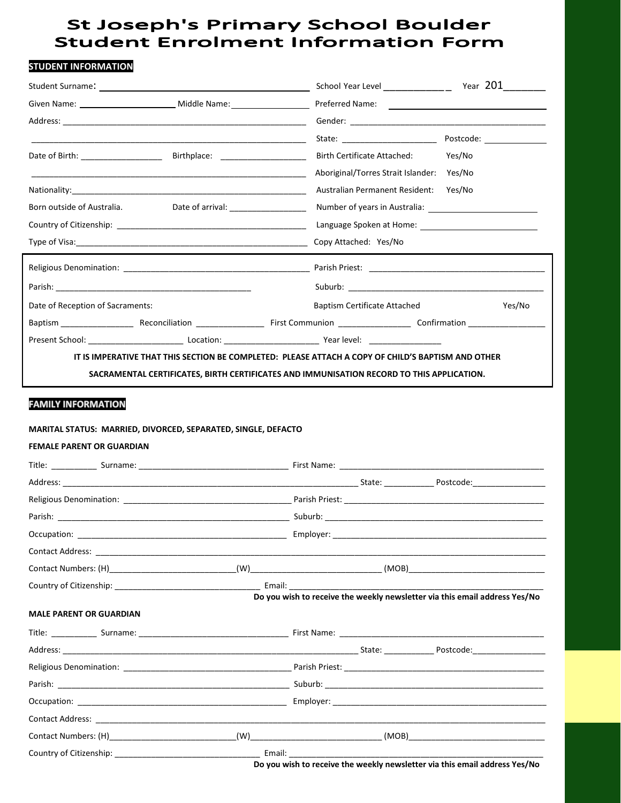### **St Joseph's Primary School Boulder Student Enrolment Information Form**

| <b>STUDENT INFORMATION</b>                                                                        |                                       |                                                                                                                                                                                                                                |        |
|---------------------------------------------------------------------------------------------------|---------------------------------------|--------------------------------------------------------------------------------------------------------------------------------------------------------------------------------------------------------------------------------|--------|
|                                                                                                   |                                       | School Year Level _____________ Year 201________                                                                                                                                                                               |        |
|                                                                                                   |                                       |                                                                                                                                                                                                                                |        |
|                                                                                                   |                                       |                                                                                                                                                                                                                                |        |
|                                                                                                   |                                       | State: Postcode:                                                                                                                                                                                                               |        |
|                                                                                                   |                                       | Birth Certificate Attached:                                                                                                                                                                                                    | Yes/No |
|                                                                                                   |                                       | Aboriginal/Torres Strait Islander: Yes/No                                                                                                                                                                                      |        |
|                                                                                                   |                                       | Australian Permanent Resident: Yes/No                                                                                                                                                                                          |        |
| Born outside of Australia.                                                                        | Date of arrival: ____________________ |                                                                                                                                                                                                                                |        |
|                                                                                                   |                                       |                                                                                                                                                                                                                                |        |
|                                                                                                   |                                       | Copy Attached: Yes/No                                                                                                                                                                                                          |        |
|                                                                                                   |                                       |                                                                                                                                                                                                                                |        |
|                                                                                                   |                                       |                                                                                                                                                                                                                                |        |
| Date of Reception of Sacraments:                                                                  |                                       | Baptism Certificate Attached                                                                                                                                                                                                   | Yes/No |
|                                                                                                   |                                       |                                                                                                                                                                                                                                |        |
|                                                                                                   |                                       | Present School: Contact Accordination: Contact According to the Search According Manual According Manual According Manual According Manual According Manual According Manual According Manual According Manual According Manua |        |
|                                                                                                   |                                       | IT IS IMPERATIVE THAT THIS SECTION BE COMPLETED: PLEASE ATTACH A COPY OF CHILD'S BAPTISM AND OTHER                                                                                                                             |        |
| <b>FAMILY INFORMATION</b><br><b>MARITAL STATUS: MARRIED, DIVORCED, SEPARATED, SINGLE, DEFACTO</b> |                                       |                                                                                                                                                                                                                                |        |
| <b>FEMALE PARENT OR GUARDIAN</b>                                                                  |                                       |                                                                                                                                                                                                                                |        |
|                                                                                                   |                                       |                                                                                                                                                                                                                                |        |
|                                                                                                   |                                       |                                                                                                                                                                                                                                |        |
|                                                                                                   |                                       |                                                                                                                                                                                                                                |        |
|                                                                                                   |                                       |                                                                                                                                                                                                                                |        |
|                                                                                                   |                                       |                                                                                                                                                                                                                                |        |
|                                                                                                   |                                       |                                                                                                                                                                                                                                |        |
|                                                                                                   |                                       |                                                                                                                                                                                                                                |        |
|                                                                                                   |                                       | Do you wish to receive the weekly newsletter via this email address Yes/No                                                                                                                                                     |        |
| <b>MALE PARENT OR GUARDIAN</b>                                                                    |                                       |                                                                                                                                                                                                                                |        |
|                                                                                                   |                                       |                                                                                                                                                                                                                                |        |
|                                                                                                   |                                       |                                                                                                                                                                                                                                |        |
|                                                                                                   |                                       |                                                                                                                                                                                                                                |        |
|                                                                                                   |                                       |                                                                                                                                                                                                                                |        |
|                                                                                                   |                                       |                                                                                                                                                                                                                                |        |
|                                                                                                   |                                       |                                                                                                                                                                                                                                |        |
|                                                                                                   |                                       |                                                                                                                                                                                                                                |        |
|                                                                                                   |                                       |                                                                                                                                                                                                                                |        |
|                                                                                                   |                                       | Do you wish to receive the weekly newsletter via this email address Yes/No                                                                                                                                                     |        |

**Do you wish to receive the weekly newsletter via this email address Yes/No**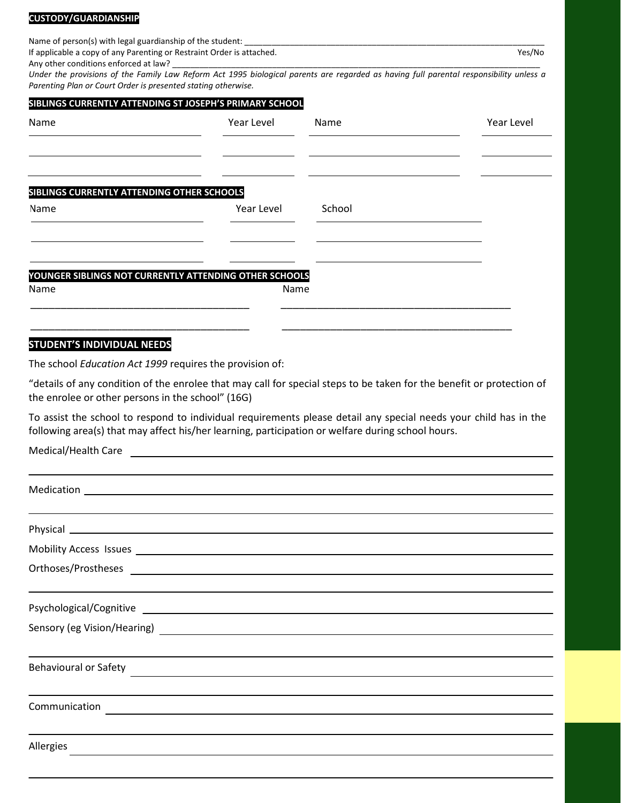#### **CUSTODY/GUARDIANSHIP**

| If applicable a copy of any Parenting or Restraint Order is attached.<br>Parenting Plan or Court Order is presented stating otherwise. | Under the provisions of the Family Law Reform Act 1995 biological parents are regarded as having full parental responsibility unless a |        | Yes/No     |
|----------------------------------------------------------------------------------------------------------------------------------------|----------------------------------------------------------------------------------------------------------------------------------------|--------|------------|
| Name                                                                                                                                   | SIBLINGS CURRENTLY ATTENDING ST JOSEPH'S PRIMARY SCHOOL<br>Year Level                                                                  | Name   | Year Level |
| SIBLINGS CURRENTLY ATTENDING OTHER SCHOOLS<br>Name                                                                                     | Year Level                                                                                                                             | School |            |
|                                                                                                                                        | YOUNGER SIBLINGS NOT CURRENTLY ATTENDING OTHER SCHOOLS                                                                                 |        |            |
| Name                                                                                                                                   | Name                                                                                                                                   |        |            |

#### **STUDENT'S INDIVIDUAL NEEDS**

The school *Education Act 1999* requires the provision of:

"details of any condition of the enrolee that may call for special steps to be taken for the benefit or protection of the enrolee or other persons in the school" (16G)

To assist the school to respond to individual requirements please detail any special needs your child has in the following area(s) that may affect his/her learning, participation or welfare during school hours.

| ,我们也不会有什么。""我们的人,我们也不会有什么?""我们的人,我们也不会有什么?""我们的人,我们也不会有什么?""我们的人,我们也不会有什么?""我们的人                                                                                                                                               |
|--------------------------------------------------------------------------------------------------------------------------------------------------------------------------------------------------------------------------------|
|                                                                                                                                                                                                                                |
|                                                                                                                                                                                                                                |
| Physical example and the contract of the contract of the contract of the contract of the contract of the contract of the contract of the contract of the contract of the contract of the contract of the contract of the contr |
|                                                                                                                                                                                                                                |
|                                                                                                                                                                                                                                |
|                                                                                                                                                                                                                                |
| Psychological/Cognitive Learning Communication of the Communication of the Communication of the Communication of the Communication of the Communication of the Communication of the Communication of the Communication of the  |
|                                                                                                                                                                                                                                |
| ,我们也不会有什么?""我们的人,我们也不会有什么?""我们的人,我们也不会有什么?""我们的人,我们也不会有什么?""我们的人,我们也不会有什么?""我们的人                                                                                                                                               |
|                                                                                                                                                                                                                                |
|                                                                                                                                                                                                                                |
|                                                                                                                                                                                                                                |
|                                                                                                                                                                                                                                |
| Allergies                                                                                                                                                                                                                      |
|                                                                                                                                                                                                                                |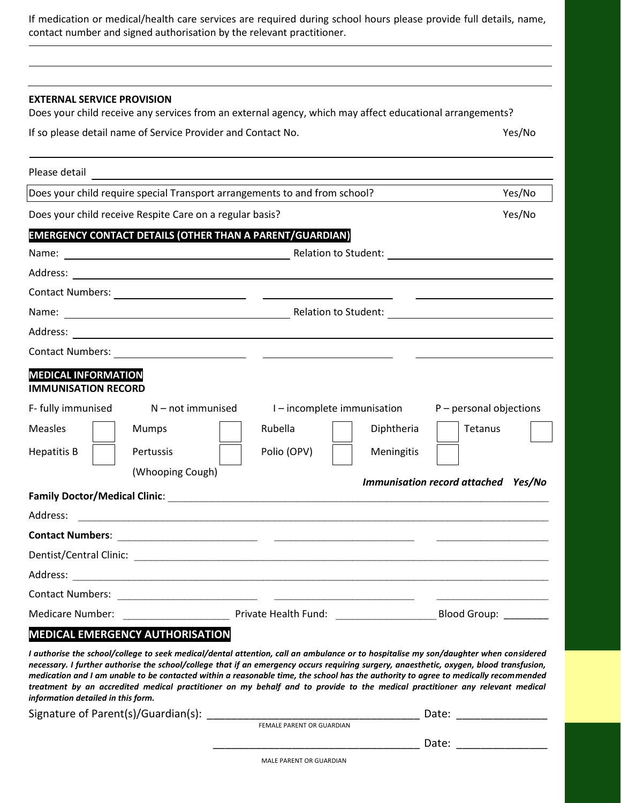If medication or medical/health care services are required during school hours please provide full details, name, contact number and signed authorisation by the relevant practitioner.

| <b>EXTERNAL SERVICE PROVISION</b>                                                                                                      |                                                                                                                      |                           |
|----------------------------------------------------------------------------------------------------------------------------------------|----------------------------------------------------------------------------------------------------------------------|---------------------------|
|                                                                                                                                        | Does your child receive any services from an external agency, which may affect educational arrangements?             |                           |
| If so please detail name of Service Provider and Contact No.                                                                           |                                                                                                                      | Yes/No                    |
| Please detail<br><u> 1980 - Jan Salaman, mangang mga kalendari ng mga kalendari ng mga kalendari ng mga kalendari ng mga kalendari</u> |                                                                                                                      |                           |
| Does your child require special Transport arrangements to and from school?                                                             |                                                                                                                      | Yes/No                    |
| Does your child receive Respite Care on a regular basis?                                                                               |                                                                                                                      | Yes/No                    |
| EMERGENCY CONTACT DETAILS (OTHER THAN A PARENT/GUARDIAN)                                                                               |                                                                                                                      |                           |
|                                                                                                                                        |                                                                                                                      |                           |
|                                                                                                                                        |                                                                                                                      |                           |
|                                                                                                                                        |                                                                                                                      |                           |
|                                                                                                                                        |                                                                                                                      |                           |
|                                                                                                                                        |                                                                                                                      |                           |
|                                                                                                                                        |                                                                                                                      |                           |
| <b>MEDICAL INFORMATION</b><br><b>IMMUNISATION RECORD</b>                                                                               |                                                                                                                      |                           |
| F- fully immunised<br>$N$ – not immunised                                                                                              | I-incomplete immunisation                                                                                            | $P$ – personal objections |
| Measles<br><b>Mumps</b>                                                                                                                | Rubella<br>Diphtheria                                                                                                | Tetanus                   |
| <b>Hepatitis B</b><br>Pertussis                                                                                                        | Polio (OPV)<br>Meningitis                                                                                            |                           |
| (Whooping Cough)                                                                                                                       |                                                                                                                      |                           |
| <b>Family Doctor/Medical Clinic:</b>                                                                                                   | <b>Immunisation record attached Yes/No</b>                                                                           |                           |
| Address:                                                                                                                               |                                                                                                                      |                           |
| <b>Contact Numbers:</b>                                                                                                                | <u> 1989 - Johann Stein, mars an deutscher Stein und der Stein und der Stein und der Stein und der Stein und der</u> |                           |
|                                                                                                                                        |                                                                                                                      |                           |
|                                                                                                                                        |                                                                                                                      |                           |
|                                                                                                                                        |                                                                                                                      |                           |
|                                                                                                                                        |                                                                                                                      |                           |
| <b>MEDICAL EMERGENCY AUTHORISATION</b>                                                                                                 |                                                                                                                      |                           |

*information detailed in this form.*

| Signature of Parent(s)/Guardian(s): |                           | Date: |  |
|-------------------------------------|---------------------------|-------|--|
|                                     | FEMALE PARENT OR GUARDIAN |       |  |
|                                     |                           | Date: |  |
|                                     |                           |       |  |

MALE PARENT OR GUARDIAN